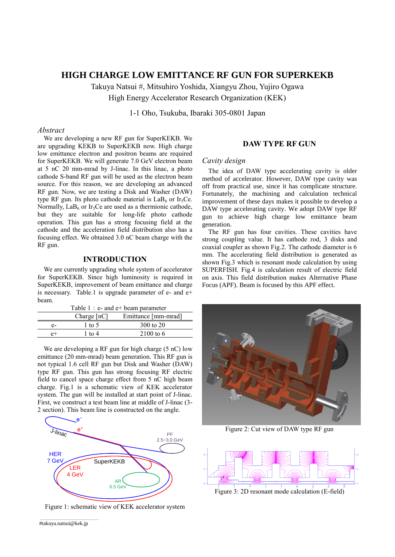# **HIGH CHARGE LOW EMITTANCE RF GUN FOR SUPERKEKB**

Takuya Natsui #, Mitsuhiro Yoshida, Xiangyu Zhou, Yujiro Ogawa High Energy Accelerator Research Organization (KEK)

1-1 Oho, Tsukuba, Ibaraki 305-0801 Japan

### *Abstract*

We are developing a new RF gun for SuperKEKB. We are upgrading KEKB to SuperKEKB now. High charge low emittance electron and positron beams are required for SuperKEKB. We will generate 7.0 GeV electron beam at 5 nC 20 mm-mrad by J-linac. In this linac, a photo cathode S-band RF gun will be used as the electron beam source. For this reason, we are developing an advanced RF gun. Now, we are testing a Disk and Washer (DAW) type RF gun. Its photo cathode material is  $LaB<sub>6</sub>$  or Ir<sub>5</sub>Ce. Normally,  $LaB<sub>6</sub>$  or Ir<sub>5</sub>Ce are used as a thermionic cathode, but they are suitable for long-life photo cathode operation. This gun has a strong focusing field at the cathode and the acceleration field distribution also has a focusing effect. We obtained 3.0 nC beam charge with the RF gun.

## **INTRODUCTION**

We are currently upgrading whole system of accelerator for SuperKEKB. Since high luminosity is required in SuperKEKB, improvement of beam emittance and charge is necessary. Table.1 is upgrade parameter of e- and e+ beam.

| Table $1 : e$ - and $e$ + beam parameter |               |                      |
|------------------------------------------|---------------|----------------------|
|                                          | Charge $[nC]$ | Emittance [mm-mrad]  |
| e-                                       | 1 to 5        | 300 to $20$          |
| $_{e+}$                                  | 1 to 4        | $2100 \text{ to } 6$ |
|                                          |               |                      |

We are developing a RF gun for high charge (5 nC) low emittance (20 mm-mrad) beam generation. This RF gun is not typical 1.6 cell RF gun but Disk and Washer (DAW) type RF gun. This gun has strong focusing RF electric field to cancel space charge effect from 5 nC high beam charge. Fig.1 is a schematic view of KEK accelerator system. The gun will be installed at start point of J-linac. First, we construct a test beam line at middle of J-linac (3- 2 section). This beam line is constructed on the angle.



Figure 1: schematic view of KEK accelerator system

## **DAW TYPE RF GUN**

#### *Cavity design*

The idea of DAW type accelerating cavity is older method of accelerator. However, DAW type cavity was off from practical use, since it has complicate structure. Fortunately, the machining and calculation technical improvement of these days makes it possible to develop a DAW type accelerating cavity. We adopt DAW type RF gun to achieve high charge low emittance beam generation.

The RF gun has four cavities. These cavities have strong coupling value. It has cathode rod, 3 disks and coaxial coupler as shown Fig.2. The cathode diameter is 6 mm. The accelerating field distribution is generated as shown Fig.3 which is resonant mode calculation by using SUPERFISH. Fig.4 is calculation result of electric field on axis. This field distribution makes Alternative Phase Focus (APF). Beam is focused by this APF effect.



Figure 2: Cut view of DAW type RF gun



Figure 3: 2D resonant mode calculation (E-field)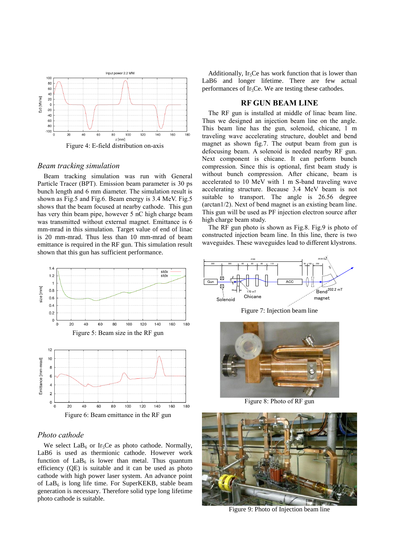

Figure 4: E-field distribution on-axis

#### *Beam tracking simulation*

Beam tracking simulation was run with General Particle Tracer (BPT). Emission beam parameter is 30 ps bunch length and 6 mm diameter. The simulation result is shown as Fig.5 and Fig.6. Beam energy is 3.4 MeV. Fig.5 shows that the beam focused at nearby cathode. This gun has very thin beam pipe, however 5 nC high charge beam was transmitted without external magnet. Emittance is 6 mm-mrad in this simulation. Target value of end of linac is 20 mm-mrad. Thus less than 10 mm-mrad of beam emittance is required in the RF gun. This simulation result shown that this gun has sufficient performance.



## *Photo cathode*

We select  $LaB<sub>6</sub>$  or Ir<sub>5</sub>Ce as photo cathode. Normally, LaB6 is used as thermionic cathode. However work function of  $LaB_6$  is lower than metal. Thus quantum efficiency (QE) is suitable and it can be used as photo cathode with high power laser system. An advance point of  $LaB<sub>6</sub>$  is long life time. For SuperKEKB, stable beam generation is necessary. Therefore solid type long lifetime photo cathode is suitable.

Additionally, Ir<sub>5</sub>Ce has work function that is lower than LaB6 and longer lifetime. There are few actual performances of  $Ir<sub>5</sub>Ce$ . We are testing these cathodes.

## **RF GUN BEAM LINE**

The RF gun is installed at middle of linac beam line. Thus we designed an injection beam line on the angle. This beam line has the gun, solenoid, chicane, 1 m traveling wave accelerating structure, doublet and bend magnet as shown fig.7. The output beam from gun is defocusing beam. A solenoid is needed nearby RF gun. Next component is chicane. It can perform bunch compression. Since this is optional, first beam study is without bunch compression. After chicane, beam is accelerated to 10 MeV with 1 m S-band traveling wave accelerating structure. Because 3.4 MeV beam is not suitable to transport. The angle is 26.56 degree (arctan1/2). Next of bend magnet is an existing beam line. This gun will be used as PF injection electron source after high charge beam study.

The RF gun photo is shown as Fig.8. Fig.9 is photo of constructed injection beam line. In this line, there is two waveguides. These waveguides lead to different klystrons.



Figure 7: Injection beam line



Figure 8: Photo of RF gun



Figure 9: Photo of Injection beam line